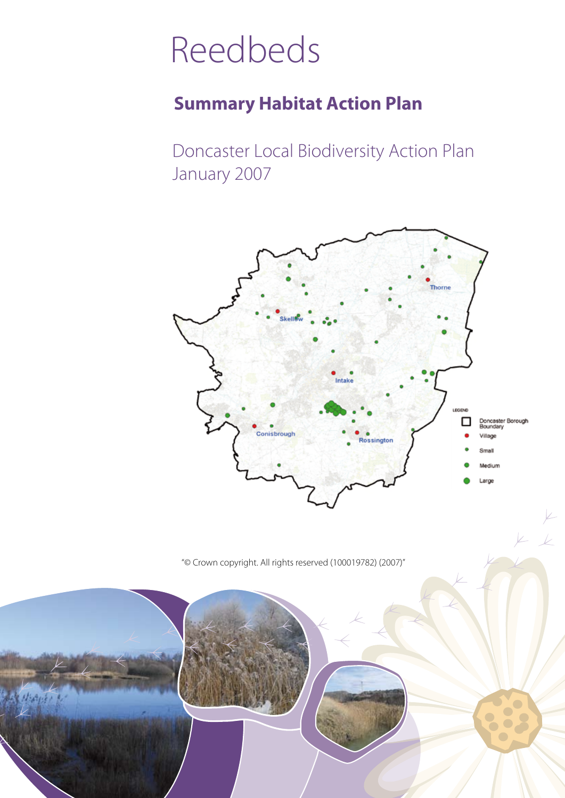# Reedbeds

### **Summary Habitat Action Plan**

Doncaster Local Biodiversity Action Plan January 2007



 $V_{-}$ 

"© Crown copyright. All rights reserved (100019782) (2007)"

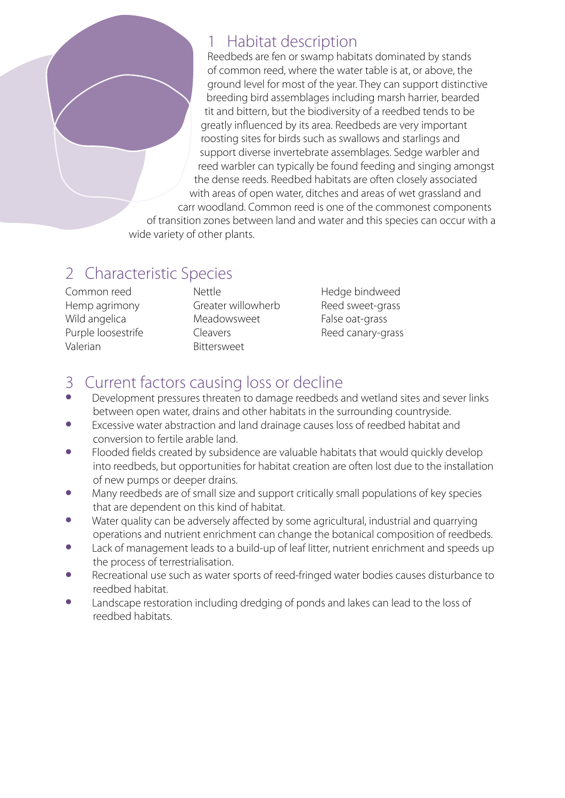#### 1 Habitat description

Reedbeds are fen or swamp habitats dominated by stands of common reed, where the water table is at, or above, the ground level for most of the year. They can support distinctive breeding bird assemblages including marsh harrier, bearded tit and bittern, but the biodiversity of a reedbed tends to be greatly influenced by its area. Reedbeds are very important roosting sites for birds such as swallows and starlings and support diverse invertebrate assemblages. Sedge warbler and reed warbler can typically be found feeding and singing amongst the dense reeds. Reedbed habitats are often closely associated with areas of open water, ditches and areas of wet grassland and carr woodland. Common reed is one of the commonest components

of transition zones between land and water and this species can occur with a wide variety of other plants.

## 2 Characteristic Species

Common reed Hemp agrimony Wild angelica Purple loosestrife Valerian

Nettle Greater willowherb Meadowsweet Cleavers Bittersweet

Hedge bindweed Reed sweet-grass False oat-grass Reed canary-grass

#### 3 Current factors causing loss or decline

- Development pressures threaten to damage reedbeds and wetland sites and sever links between open water, drains and other habitats in the surrounding countryside.
- Excessive water abstraction and land drainage causes loss of reedbed habitat and conversion to fertile arable land.
- Flooded fields created by subsidence are valuable habitats that would quickly develop into reedbeds, but opportunities for habitat creation are often lost due to the installation of new pumps or deeper drains.
- Many reedbeds are of small size and support critically small populations of key species that are dependent on this kind of habitat.
- Water quality can be adversely affected by some agricultural, industrial and quarrying operations and nutrient enrichment can change the botanical composition of reedbeds.
- Lack of management leads to a build-up of leaf litter, nutrient enrichment and speeds up the process of terrestrialisation.
- Recreational use such as water sports of reed-fringed water bodies causes disturbance to reedbed habitat.
- Landscape restoration including dredging of ponds and lakes can lead to the loss of reedbed habitats.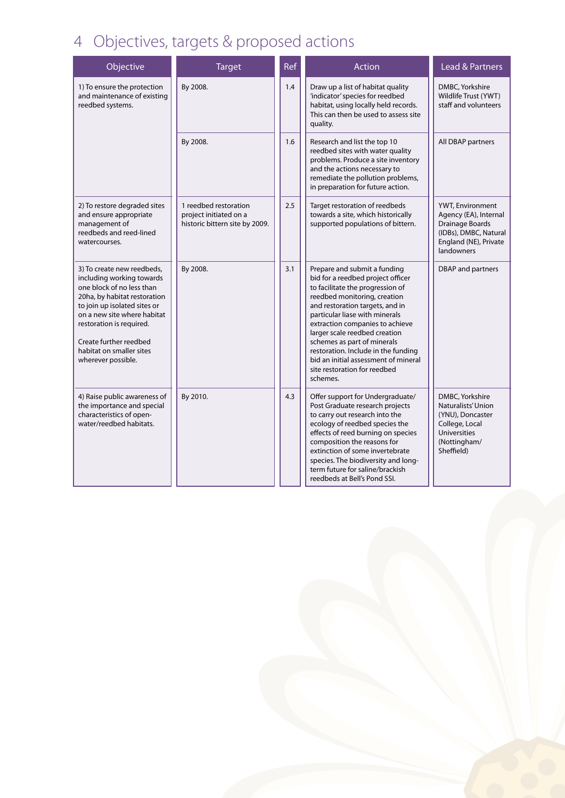## 4 Objectives, targets & proposed actions

| Objective                                                                                                                                                                                                                                                                                   | <b>Target</b>                                                                     | <b>Ref</b> | Action                                                                                                                                                                                                                                                                                                                                                                                                                                   | Lead & Partners                                                                                                                  |
|---------------------------------------------------------------------------------------------------------------------------------------------------------------------------------------------------------------------------------------------------------------------------------------------|-----------------------------------------------------------------------------------|------------|------------------------------------------------------------------------------------------------------------------------------------------------------------------------------------------------------------------------------------------------------------------------------------------------------------------------------------------------------------------------------------------------------------------------------------------|----------------------------------------------------------------------------------------------------------------------------------|
| 1) To ensure the protection<br>and maintenance of existing<br>reedbed systems.                                                                                                                                                                                                              | By 2008.                                                                          | 1.4        | Draw up a list of habitat quality<br>'indicator' species for reedbed<br>habitat, using locally held records.<br>This can then be used to assess site<br>quality.                                                                                                                                                                                                                                                                         | DMBC, Yorkshire<br>Wildlife Trust (YWT)<br>staff and volunteers                                                                  |
|                                                                                                                                                                                                                                                                                             | By 2008.                                                                          | 1.6        | Research and list the top 10<br>reedbed sites with water quality<br>problems. Produce a site inventory<br>and the actions necessary to<br>remediate the pollution problems,<br>in preparation for future action.                                                                                                                                                                                                                         | All DBAP partners                                                                                                                |
| 2) To restore degraded sites<br>and ensure appropriate<br>management of<br>reedbeds and reed-lined<br>watercourses.                                                                                                                                                                         | 1 reedbed restoration<br>project initiated on a<br>historic bittern site by 2009. | 2.5        | Target restoration of reedbeds<br>towards a site, which historically<br>supported populations of bittern.                                                                                                                                                                                                                                                                                                                                | YWT, Environment<br>Agency (EA), Internal<br>Drainage Boards<br>(IDBs), DMBC, Natural<br>England (NE), Private<br>landowners     |
| 3) To create new reedbeds,<br>including working towards<br>one block of no less than<br>20ha, by habitat restoration<br>to join up isolated sites or<br>on a new site where habitat<br>restoration is required.<br>Create further reedbed<br>habitat on smaller sites<br>wherever possible. | By 2008.                                                                          | 3.1        | Prepare and submit a funding<br>bid for a reedbed project officer<br>to facilitate the progression of<br>reedbed monitoring, creation<br>and restoration targets, and in<br>particular liase with minerals<br>extraction companies to achieve<br>larger scale reedbed creation<br>schemes as part of minerals<br>restoration. Include in the funding<br>bid an initial assessment of mineral<br>site restoration for reedbed<br>schemes. | <b>DBAP</b> and partners                                                                                                         |
| 4) Raise public awareness of<br>the importance and special<br>characteristics of open-<br>water/reedbed habitats.                                                                                                                                                                           | By 2010.                                                                          | 4.3        | Offer support for Undergraduate/<br>Post Graduate research projects<br>to carry out research into the<br>ecology of reedbed species the<br>effects of reed burning on species<br>composition the reasons for<br>extinction of some invertebrate<br>species. The biodiversity and long-<br>term future for saline/brackish<br>reedbeds at Bell's Pond SSI.                                                                                | DMBC, Yorkshire<br>Naturalists' Union<br>(YNU), Doncaster<br>College, Local<br><b>Universities</b><br>(Nottingham/<br>Sheffield) |